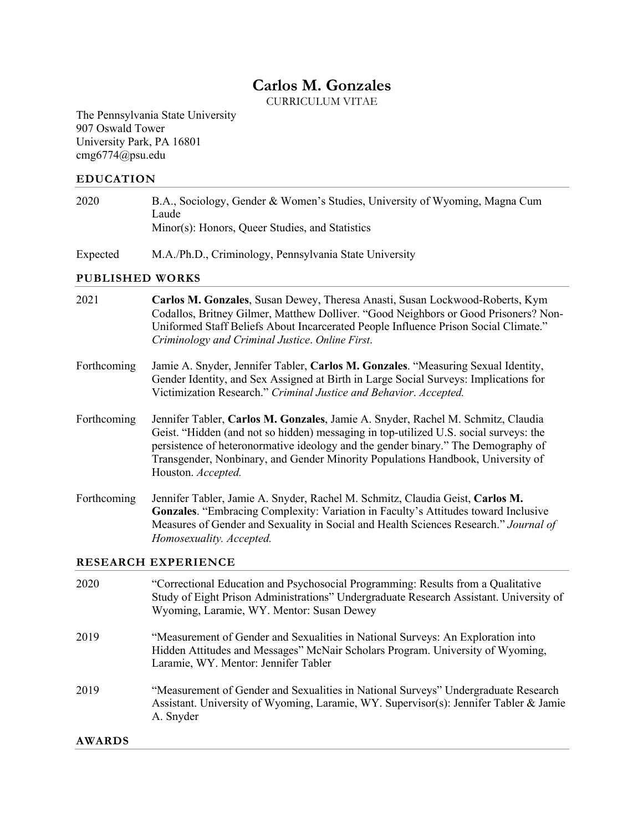# **Carlos M. Gonzales**

CURRICULUM VITAE

The Pennsylvania State University 907 Oswald Tower University Park, PA 16801 cmg6774@psu.edu

#### **EDUCATION**

| 2020 | B.A., Sociology, Gender & Women's Studies, University of Wyoming, Magna Cum |
|------|-----------------------------------------------------------------------------|
|      | Laude                                                                       |
|      | Minor(s): Honors, Queer Studies, and Statistics                             |
|      |                                                                             |

Expected M.A./Ph.D., Criminology, Pennsylvania State University

## **PUBLISHED WORKS**

| 2021          | Carlos M. Gonzales, Susan Dewey, Theresa Anasti, Susan Lockwood-Roberts, Kym<br>Codallos, Britney Gilmer, Matthew Dolliver. "Good Neighbors or Good Prisoners? Non-<br>Uniformed Staff Beliefs About Incarcerated People Influence Prison Social Climate."<br>Criminology and Criminal Justice. Online First.                                                           |
|---------------|-------------------------------------------------------------------------------------------------------------------------------------------------------------------------------------------------------------------------------------------------------------------------------------------------------------------------------------------------------------------------|
| Forthcoming   | Jamie A. Snyder, Jennifer Tabler, Carlos M. Gonzales. "Measuring Sexual Identity,<br>Gender Identity, and Sex Assigned at Birth in Large Social Surveys: Implications for<br>Victimization Research." Criminal Justice and Behavior. Accepted.                                                                                                                          |
| Forthcoming   | Jennifer Tabler, Carlos M. Gonzales, Jamie A. Snyder, Rachel M. Schmitz, Claudia<br>Geist. "Hidden (and not so hidden) messaging in top-utilized U.S. social surveys: the<br>persistence of heteronormative ideology and the gender binary." The Demography of<br>Transgender, Nonbinary, and Gender Minority Populations Handbook, University of<br>Houston. Accepted. |
| Forthcoming   | Jennifer Tabler, Jamie A. Snyder, Rachel M. Schmitz, Claudia Geist, Carlos M.<br>Gonzales. "Embracing Complexity: Variation in Faculty's Attitudes toward Inclusive<br>Measures of Gender and Sexuality in Social and Health Sciences Research." Journal of<br>Homosexuality. Accepted.                                                                                 |
|               | <b>RESEARCH EXPERIENCE</b>                                                                                                                                                                                                                                                                                                                                              |
| 2020          | "Correctional Education and Psychosocial Programming: Results from a Qualitative<br>Study of Eight Prison Administrations" Undergraduate Research Assistant. University of<br>Wyoming, Laramie, WY. Mentor: Susan Dewey                                                                                                                                                 |
| 2019          | "Measurement of Gender and Sexualities in National Surveys: An Exploration into<br>Hidden Attitudes and Messages" McNair Scholars Program. University of Wyoming,<br>Laramie, WY. Mentor: Jennifer Tabler                                                                                                                                                               |
| 2019          | "Measurement of Gender and Sexualities in National Surveys" Undergraduate Research<br>Assistant. University of Wyoming, Laramie, WY. Supervisor(s): Jennifer Tabler & Jamie<br>A. Snyder                                                                                                                                                                                |
| <b>AWARDS</b> |                                                                                                                                                                                                                                                                                                                                                                         |